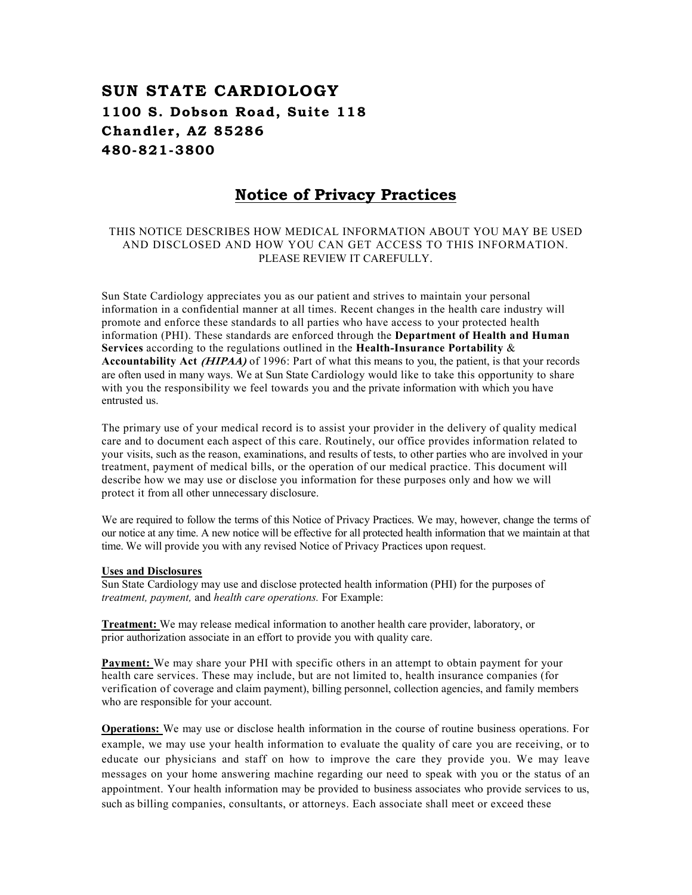# SUN STATE CARDIOLOGY 1100 S. Dobson Road, Suite 118 Chandler, AZ 85286 480 -821 -3800

# Notice of Privacy Practices

# THIS NOTICE DESCRIBES HOW MEDICAL INFORMATION ABOUT YOU MAY BE USED AND DISCLOSED AND HOW YOU CAN GET ACCESS TO THIS INFORMATION. PLEASE REVIEW IT CAREFULLY.

Sun State Cardiology appreciates you as our patient and strives to maintain your personal information in a confidential manner at all times. Recent changes in the health care industry will promote and enforce these standards to all parties who have access to your protected health information (PHI). These standards are enforced through the Department of Health and Human Services according to the regulations outlined in the Health-Insurance Portability  $\&$ Accountability Act (HIPAA) of 1996: Part of what this means to you, the patient, is that your records are often used in many ways. We at Sun State Cardiology would like to take this opportunity to share with you the responsibility we feel towards you and the private information with which you have entrusted us.

The primary use of your medical record is to assist your provider in the delivery of quality medical care and to document each aspect of this care. Routinely, our office provides information related to your visits, such as the reason, examinations, and results of tests, to other parties who are involved in your treatment, payment of medical bills, or the operation of our medical practice. This document will describe how we may use or disclose you information for these purposes only and how we will protect it from all other unnecessary disclosure.

We are required to follow the terms of this Notice of Privacy Practices. We may, however, change the terms of our notice at any time. A new notice will be effective for all protected health information that we maintain at that time. We will provide you with any revised Notice of Privacy Practices upon request.

#### Uses and Disclosures

Sun State Cardiology may use and disclose protected health information (PHI) for the purposes of treatment, payment, and health care operations. For Example:

Treatment: We may release medical information to another health care provider, laboratory, or prior authorization associate in an effort to provide you with quality care.

Payment: We may share your PHI with specific others in an attempt to obtain payment for your health care services. These may include, but are not limited to, health insurance companies (for verification of coverage and claim payment), billing personnel, collection agencies, and family members who are responsible for your account.

Operations: We may use or disclose health information in the course of routine business operations. For example, we may use your health information to evaluate the quality of care you are receiving, or to educate our physicians and staff on how to improve the care they provide you. We may leave messages on your home answering machine regarding our need to speak with you or the status of an appointment. Your health information may be provided to business associates who provide services to us, such as billing companies, consultants, or attorneys. Each associate shall meet or exceed these